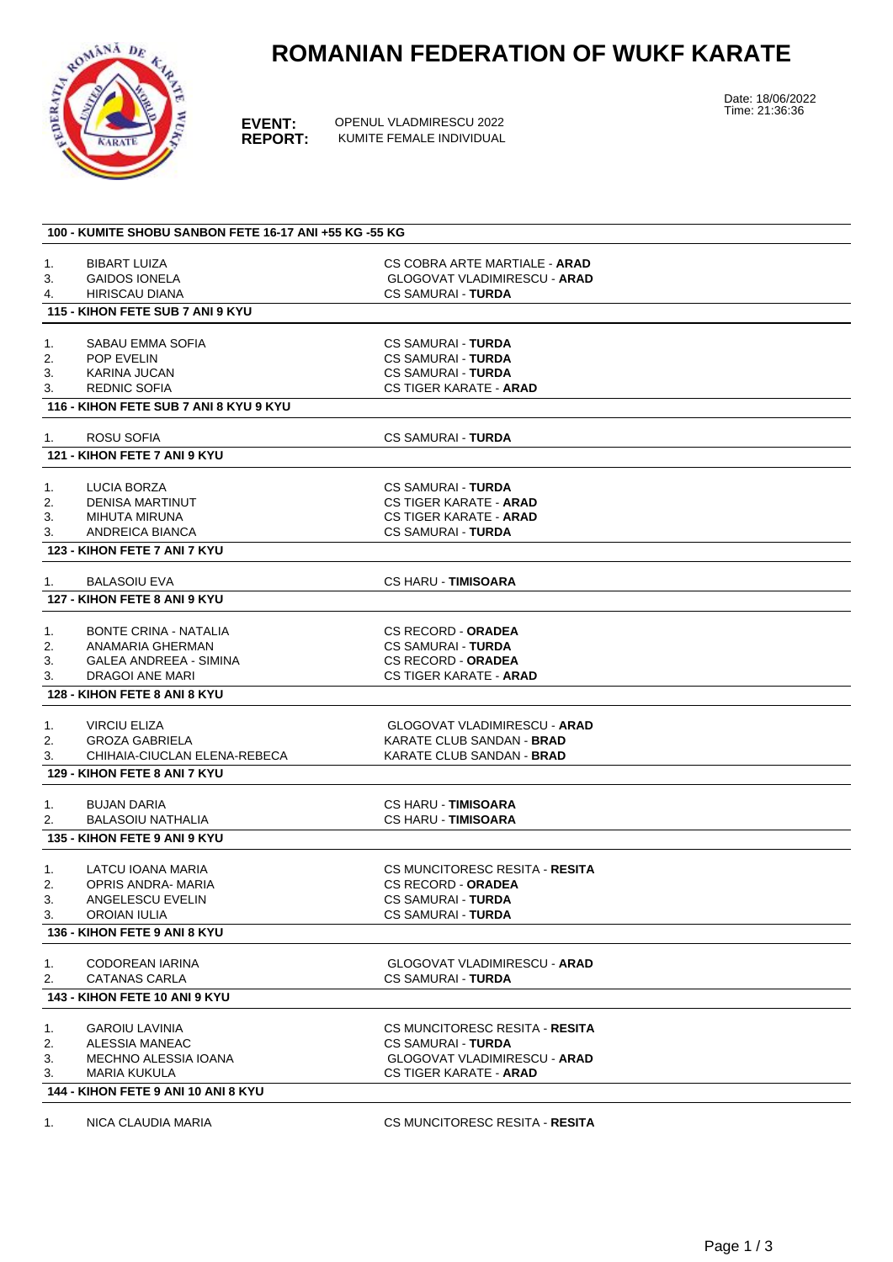# **ROMANIAN FEDERATION OF WUKF KARATE**



**EVENT:** OPENUL VLADMIRESCU 2022<br>**REPORT:** KUMITE FEMALE INDIVIDUAL **REPORT:** KUMITE FEMALE INDIVIDUAL Date: 18/06/2022 Time: 21:36:36

|    | 100 - KUMITE SHOBU SANBON FETE 16-17 ANI +55 KG -55 KG |                                      |  |
|----|--------------------------------------------------------|--------------------------------------|--|
|    |                                                        |                                      |  |
| 1. | <b>BIBART LUIZA</b>                                    | CS COBRA ARTE MARTIALE - <b>ARAD</b> |  |
| 3. | <b>GAIDOS IONELA</b>                                   | <b>GLOGOVAT VLADIMIRESCU - ARAD</b>  |  |
| 4. | HIRISCAU DIANA                                         | <b>CS SAMURAI - TURDA</b>            |  |
|    | 115 - KIHON FETE SUB 7 ANI 9 KYU                       |                                      |  |
| 1. | SABAU EMMA SOFIA                                       | <b>CS SAMURAI - TURDA</b>            |  |
| 2. | <b>POP EVELIN</b>                                      | <b>CS SAMURAI - TURDA</b>            |  |
| 3. | KARINA JUCAN                                           | <b>CS SAMURAI - TURDA</b>            |  |
| 3. | <b>REDNIC SOFIA</b>                                    | <b>CS TIGER KARATE - ARAD</b>        |  |
|    | 116 - KIHON FETE SUB 7 ANI 8 KYU 9 KYU                 |                                      |  |
| 1. | ROSU SOFIA                                             | <b>CS SAMURAI - TURDA</b>            |  |
|    | 121 - KIHON FETE 7 ANI 9 KYU                           |                                      |  |
|    |                                                        |                                      |  |
| 1. | LUCIA BORZA                                            | <b>CS SAMURAI - TURDA</b>            |  |
| 2. | <b>DENISA MARTINUT</b>                                 | <b>CS TIGER KARATE - ARAD</b>        |  |
| 3. | MIHUTA MIRUNA                                          | <b>CS TIGER KARATE - ARAD</b>        |  |
| 3. | ANDREICA BIANCA                                        | <b>CS SAMURAI - TURDA</b>            |  |
|    | 123 - KIHON FETE 7 ANI 7 KYU                           |                                      |  |
| 1. | <b>BALASOIU EVA</b>                                    | <b>CS HARU - TIMISOARA</b>           |  |
|    | 127 - KIHON FETE 8 ANI 9 KYU                           |                                      |  |
|    |                                                        |                                      |  |
| 1. | <b>BONTE CRINA - NATALIA</b>                           | <b>CS RECORD - ORADEA</b>            |  |
| 2. | ANAMARIA GHERMAN                                       | CS SAMURAI - <b>TURDA</b>            |  |
| 3. | GALEA ANDREEA - SIMINA                                 | <b>CS RECORD - ORADEA</b>            |  |
| 3. | DRAGOI ANE MARI                                        | <b>CS TIGER KARATE - ARAD</b>        |  |
|    | 128 - KIHON FETE 8 ANI 8 KYU                           |                                      |  |
| 1. | <b>VIRCIU ELIZA</b>                                    | <b>GLOGOVAT VLADIMIRESCU - ARAD</b>  |  |
| 2. | <b>GROZA GABRIELA</b>                                  | KARATE CLUB SANDAN - <b>BRAD</b>     |  |
| 3. | CHIHAIA-CIUCLAN ELENA-REBECA                           | KARATE CLUB SANDAN - BRAD            |  |
|    | 129 - KIHON FETE 8 ANI 7 KYU                           |                                      |  |
|    |                                                        |                                      |  |
| 1. | <b>BUJAN DARIA</b>                                     | <b>CS HARU - TIMISOARA</b>           |  |
| 2. | <b>BALASOIU NATHALIA</b>                               | <b>CS HARU - TIMISOARA</b>           |  |
|    | 135 - KIHON FETE 9 ANI 9 KYU                           |                                      |  |
| 1. | LATCU IOANA MARIA                                      | CS MUNCITORESC RESITA - RESITA       |  |
| 2. | <b>OPRIS ANDRA- MARIA</b>                              | <b>CS RECORD - ORADEA</b>            |  |
| 3. | ANGELESCU EVELIN                                       | CS SAMURAI - <b>TURDA</b>            |  |
| 3. | <b>OROIAN IULIA</b>                                    | CS SAMURAI - TURDA                   |  |
|    | 136 - KIHON FETE 9 ANI 8 KYU                           |                                      |  |
|    |                                                        |                                      |  |
| 1. | CODOREAN IARINA                                        | GLOGOVAT VLADIMIRESCU - <b>ARAD</b>  |  |
| 2. | CATANAS CARLA                                          | CS SAMURAI - TURDA                   |  |
|    | 143 - KIHON FETE 10 ANI 9 KYU                          |                                      |  |
| 1. | <b>GAROIU LAVINIA</b>                                  | CS MUNCITORESC RESITA - RESITA       |  |
| 2. | ALESSIA MANEAC                                         | <b>CS SAMURAI - TURDA</b>            |  |
| 3. | MECHNO ALESSIA IOANA                                   | <b>GLOGOVAT VLADIMIRESCU - ARAD</b>  |  |
| 3. | <b>MARIA KUKULA</b>                                    | <b>CS TIGER KARATE - ARAD</b>        |  |
|    | 144 - KIHON FETE 9 ANI 10 ANI 8 KYU                    |                                      |  |
|    |                                                        |                                      |  |
| 1. | NICA CLAUDIA MARIA                                     | CS MUNCITORESC RESITA - RESITA       |  |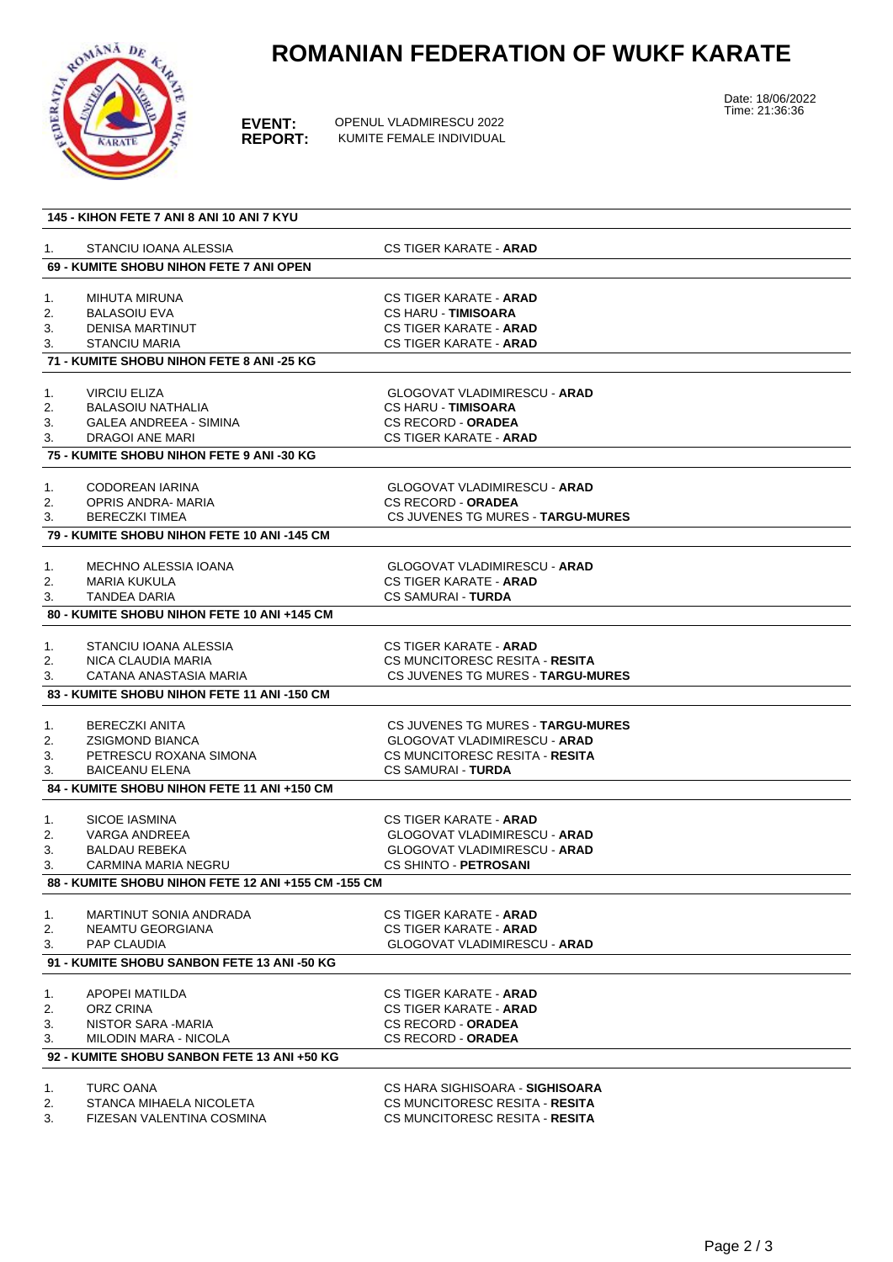

### **ROMANIAN FEDERATION OF WUKF KARATE**

**EVENT:** OPENUL VLADMIRESCU 2022<br>**REPORT:** KUMITE FEMALE INDIVIDUAL **REPORT:** KUMITE FEMALE INDIVIDUAL Date: 18/06/2022 Time: 21:36:36

|    | 145 - KIHON FETE 7 ANI 8 ANI 10 ANI 7 KYU                            |                                                            |  |
|----|----------------------------------------------------------------------|------------------------------------------------------------|--|
| 1. | STANCIU IOANA ALESSIA                                                | <b>CS TIGER KARATE - ARAD</b>                              |  |
|    | 69 - KUMITE SHOBU NIHON FETE 7 ANI OPEN                              |                                                            |  |
| 1. | <b>MIHUTA MIRUNA</b>                                                 | <b>CS TIGER KARATE - ARAD</b>                              |  |
| 2. | <b>BALASOIU EVA</b>                                                  | <b>CS HARU - TIMISOARA</b>                                 |  |
| 3. | DENISA MARTINUT                                                      | <b>CS TIGER KARATE - ARAD</b>                              |  |
| 3. | <b>STANCIU MARIA</b>                                                 | <b>CS TIGER KARATE - ARAD</b>                              |  |
|    | 71 - KUMITE SHOBU NIHON FETE 8 ANI -25 KG                            |                                                            |  |
| 1. | <b>VIRCIU ELIZA</b>                                                  | <b>GLOGOVAT VLADIMIRESCU - ARAD</b>                        |  |
| 2. | <b>BALASOIU NATHALIA</b>                                             | <b>CS HARU - TIMISOARA</b>                                 |  |
| 3. | <b>GALEA ANDREEA - SIMINA</b>                                        | <b>CS RECORD - ORADEA</b>                                  |  |
| 3. | DRAGOI ANE MARI                                                      | <b>CS TIGER KARATE - ARAD</b>                              |  |
|    | 75 - KUMITE SHOBU NIHON FETE 9 ANI -30 KG                            |                                                            |  |
|    |                                                                      |                                                            |  |
| 1. | <b>CODOREAN IARINA</b>                                               | <b>GLOGOVAT VLADIMIRESCU - ARAD</b>                        |  |
| 2. | OPRIS ANDRA- MARIA                                                   | <b>CS RECORD - ORADEA</b>                                  |  |
| 3. | BERECZKI TIMEA                                                       | CS JUVENES TG MURES - TARGU-MURES                          |  |
|    | 79 - KUMITE SHOBU NIHON FETE 10 ANI -145 CM                          |                                                            |  |
| 1. | MECHNO ALESSIA IOANA                                                 | GLOGOVAT VLADIMIRESCU - <b>ARAD</b>                        |  |
| 2. | MARIA KUKULA                                                         | <b>CS TIGER KARATE - ARAD</b>                              |  |
| 3. | <b>TANDEA DARIA</b>                                                  | <b>CS SAMURAI - TURDA</b>                                  |  |
|    | 80 - KUMITE SHOBU NIHON FETE 10 ANI +145 CM                          |                                                            |  |
| 1. | STANCIU IOANA ALESSIA                                                | <b>CS TIGER KARATE - ARAD</b>                              |  |
| 2. | NICA CLAUDIA MARIA                                                   | CS MUNCITORESC RESITA - RESITA                             |  |
| 3. | CATANA ANASTASIA MARIA                                               | CS JUVENES TG MURES - TARGU-MURES                          |  |
|    | 83 - KUMITE SHOBU NIHON FETE 11 ANI -150 CM                          |                                                            |  |
|    |                                                                      |                                                            |  |
| 1. | <b>BERECZKI ANITA</b>                                                | CS JUVENES TG MURES - TARGU-MURES                          |  |
| 2. | <b>ZSIGMOND BIANCA</b>                                               | <b>GLOGOVAT VLADIMIRESCU - ARAD</b>                        |  |
| 3. | PETRESCU ROXANA SIMONA                                               | CS MUNCITORESC RESITA - RESITA                             |  |
| 3. | <b>BAICEANU ELENA</b><br>84 - KUMITE SHOBU NIHON FETE 11 ANI +150 CM | <b>CS SAMURAI - TURDA</b>                                  |  |
|    |                                                                      |                                                            |  |
| 1. | <b>SICOE IASMINA</b>                                                 | CS TIGER KARATE - ARAD                                     |  |
| 2. | VARGA ANDREEA                                                        | <b>GLOGOVAT VLADIMIRESCU - ARAD</b>                        |  |
| 3. | <b>BALDAU REBEKA</b>                                                 | <b>GLOGOVAT VLADIMIRESCU - ARAD</b>                        |  |
| 3. | <b>CARMINA MARIA NEGRU</b>                                           | <b>CS SHINTO - PETROSANI</b>                               |  |
|    | 88 - KUMITE SHOBU NIHON FETE 12 ANI +155 CM -155 CM                  |                                                            |  |
| 1. | MARTINUT SONIA ANDRADA                                               | <b>CS TIGER KARATE - ARAD</b>                              |  |
| 2. | NEAMTU GEORGIANA                                                     | CS TIGER KARATE - <b>ARAD</b>                              |  |
| 3. | PAP CLAUDIA                                                          | <b>GLOGOVAT VLADIMIRESCU - ARAD</b>                        |  |
|    | 91 - KUMITE SHOBU SANBON FETE 13 ANI -50 KG                          |                                                            |  |
|    |                                                                      |                                                            |  |
| 1. | APOPEI MATILDA                                                       | CS TIGER KARATE - <b>ARAD</b>                              |  |
| 2. | ORZ CRINA                                                            | <b>CS TIGER KARATE - ARAD</b><br><b>CS RECORD - ORADEA</b> |  |
| 3. | NISTOR SARA -MARIA                                                   |                                                            |  |
| 3. | MILODIN MARA - NICOLA<br>92 - KUMITE SHOBU SANBON FETE 13 ANI +50 KG | <b>CS RECORD - ORADEA</b>                                  |  |
|    |                                                                      |                                                            |  |
| 1. | <b>TURC OANA</b>                                                     | CS HARA SIGHISOARA - SIGHISOARA                            |  |
| 2. | STANCA MIHAELA NICOLETA                                              | CS MUNCITORESC RESITA - RESITA                             |  |

3. FIZESAN VALENTINA COSMINA COSMINA COSMUNCITORESC RESITA - **RESITA**